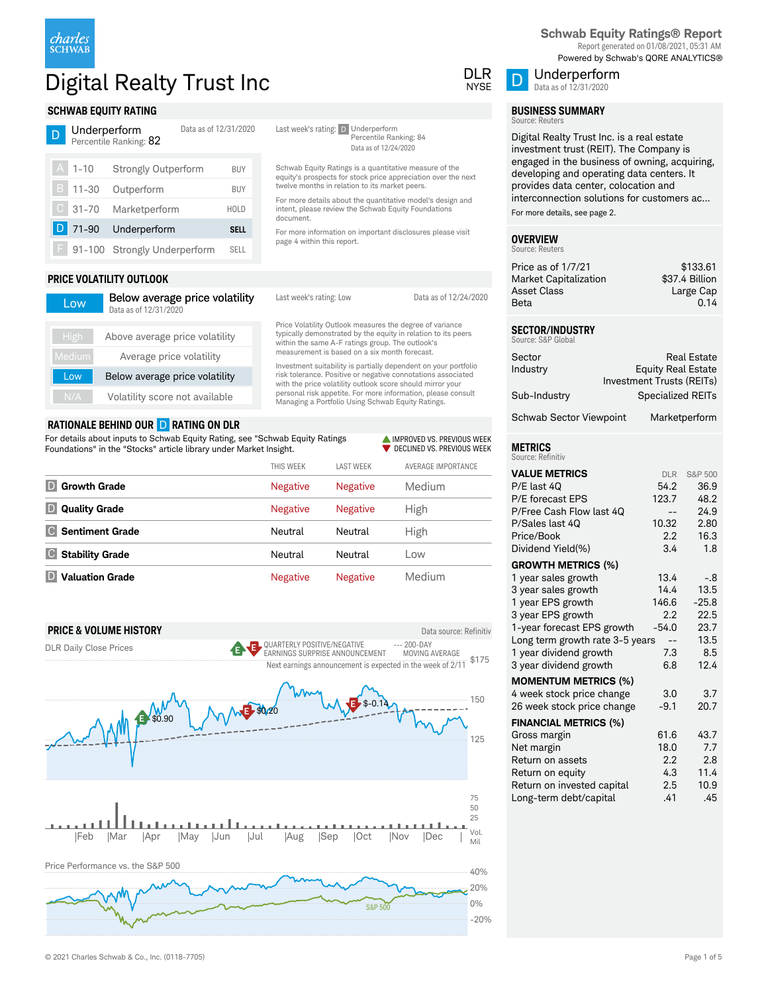

# Digital Realty Trust Inc DUR DUR DUR DUR

Data as of 12/31/2020

Last week's rating: D Underperform

document.

page 4 within this report.

Percentile Ranking: 84 Data as of 12/24/2020

Schwab Equity Ratings is a quantitative measure of the equity's prospects for stock price appreciation over the next

For more details about the quantitative model's design and intent, please review the Schwab Equity Foundations

For more information on important disclosures please visit

> **IMPROVED VS. PREVIOUS WEEK** DECLINED VS. PREVIOUS WEEK

twelve months in relation to its market peers.

### **SCHWAB EQUITY RATING** Underperform

|               | <u>onder periorin</u> | <u>DAIA AS UL TZ/JITZUZU</u><br>Percentile Ranking: 82 |             |
|---------------|-----------------------|--------------------------------------------------------|-------------|
| $\mathsf{A}$  | $1 - 10$              | <b>Strongly Outperform</b>                             | BUY         |
|               | B   11-30             | Outperform                                             | BUY         |
| $\mathcal{C}$ |                       | 31-70 Marketperform                                    | <b>HOLD</b> |
|               | 71-90                 | Underperform                                           | <b>SELL</b> |
|               |                       | 91-100 Strongly Underperform                           | <b>SELL</b> |

### **PRICE VOLATILITY OUTLOOK**

| Low           | Below average price volatility<br>Data as of 12/31/2020 | Last week's rating: Low                                                                                                                                                                       | Data as of 12/24/2020 |
|---------------|---------------------------------------------------------|-----------------------------------------------------------------------------------------------------------------------------------------------------------------------------------------------|-----------------------|
| High          | Above average price volatility                          | Price Volatility Outlook measures the degree of variance<br>typically demonstrated by the equity in relation to its peers<br>within the same A-F ratings group. The outlook's                 |                       |
| <b>Medium</b> | Average price volatility                                | measurement is based on a six month forecast.                                                                                                                                                 |                       |
| Low           | Below average price volatility                          | Investment suitability is partially dependent on your portfolio<br>risk tolerance. Positive or negative connotations associated<br>with the price volatility outlook score should mirror your |                       |
| N/A           | Volatility score not available                          | personal risk appetite. For more information, please consult<br>Managing a Portfolio Using Schwab Equity Ratings.                                                                             |                       |

### **RATIONALE BEHIND OUR** D **RATING ON DLR**

For details about inputs to Schwab Equity Rating, see "Schwab Equity Ratings Foundations" in the "Stocks" article library under Market Insight.

|                               | THIS WEEK       | <b>LAST WEEK</b> | AVERAGE IMPORTANCE |
|-------------------------------|-----------------|------------------|--------------------|
| <b>Growth Grade</b>           | <b>Negative</b> | <b>Negative</b>  | Medium             |
| <b>Quality Grade</b><br>D     | <b>Negative</b> | <b>Negative</b>  | High               |
| <b>Sentiment Grade</b>        | Neutral         | Neutral          | High               |
| <b>Stability Grade</b><br>ICI | Neutral         | Neutral          | Low                |
| <b>Valuation Grade</b>        | <b>Negative</b> | <b>Negative</b>  | Medium             |





**Schwab Equity Ratings® Report** Report generated on 01/08/2021, 05:31 AM Powered by Schwab's QORE ANALYTICS®



# **BUSINESS SUMMARY**

Underperform Data as of 12/31/2020

#### Source: Reuters

Digital Realty Trust Inc. is a real estate investment trust (REIT). The Company is engaged in the business of owning, acquiring, developing and operating data centers. It provides data center, colocation and interconnection solutions for customers ac... For more details, see page 2.

#### **OVERVIEW** Source: Reuters

| Price as of 1/7/21    | \$133.61       |
|-----------------------|----------------|
| Market Capitalization | \$37.4 Billion |
| Asset Class           | Large Cap      |
| Beta                  | 0.14           |
|                       |                |

#### **SECTOR/INDUSTRY** SURCE: S&P Glob

| Sector                  | <b>Real Estate</b>        |
|-------------------------|---------------------------|
| Industry                | <b>Equity Real Estate</b> |
|                         | Investment Trusts (REITs) |
| Sub-Industry            | <b>Specialized REITs</b>  |
| Schwab Sector Viewpoint | Marketperform             |

# **METRICS**

| Source: Refinitiv               |            |         |
|---------------------------------|------------|---------|
| <b>VALUE METRICS</b>            | <b>DLR</b> | S&P 500 |
| P/E last 4Q                     | 54.2       | 36.9    |
| P/E forecast EPS                | 123.7      | 48.2    |
| P/Free Cash Flow last 4Q        |            | 24.9    |
| P/Sales last 40                 | 10.32      | 2.80    |
| Price/Book                      | 2.2        | 16.3    |
| Dividend Yield(%)               | 3.4        | 1.8     |
| <b>GROWTH METRICS (%)</b>       |            |         |
| 1 year sales growth             | 13.4       | $-.8$   |
| 3 year sales growth             | 14.4       | 13.5    |
| 1 year EPS growth               | 146.6      | $-25.8$ |
| 3 year EPS growth               | 2.2        | 22.5    |
| 1-year forecast EPS growth      | $-54.0$    | 23.7    |
| Long term growth rate 3-5 years | $-$        | 13.5    |
| 1 year dividend growth          | 7.3        | 8.5     |
| 3 year dividend growth          | 6.8        | 12.4    |
| <b>MOMENTUM METRICS (%)</b>     |            |         |
| 4 week stock price change       | 3.0        | 3.7     |
| 26 week stock price change      | $-9.1$     | 20.7    |
| <b>FINANCIAL METRICS (%)</b>    |            |         |
| Gross margin                    | 61.6       | 43.7    |
| Net margin                      | 18.0       | 7.7     |
| Return on assets                | 2.2        | 2.8     |
| Return on equity                | 4.3        | 11.4    |
| Return on invested capital      | 2.5        | 10.9    |
| Long-term debt/capital          | .41        | .45     |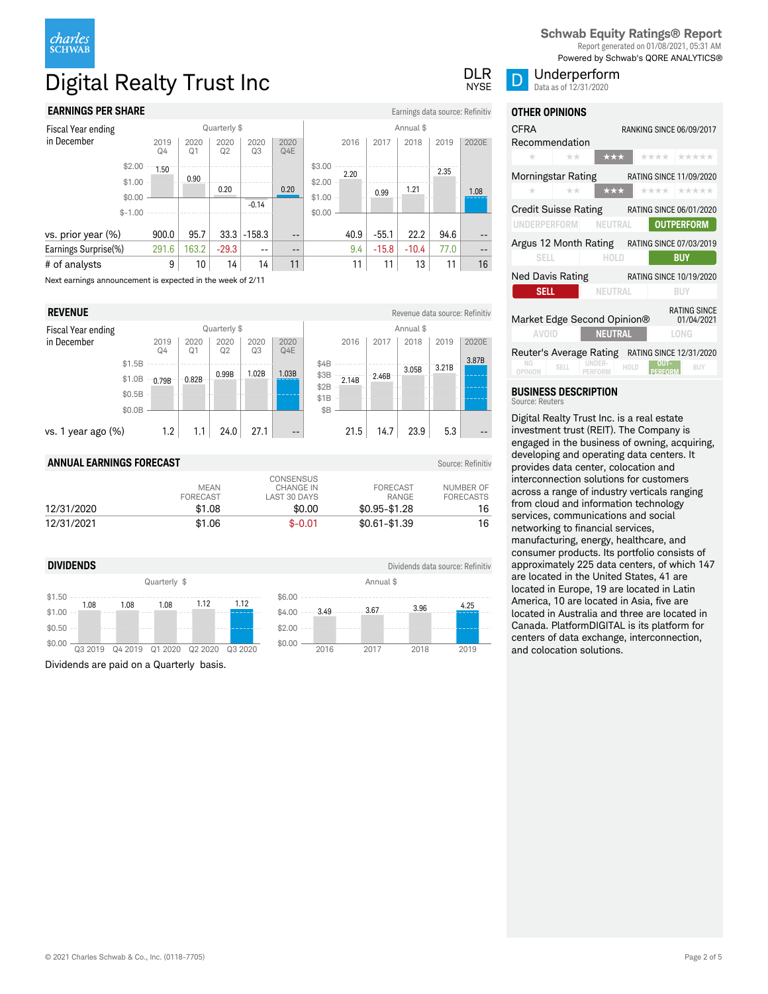

# Digital Realty Trust Inc DIR DUR DUR DUR DUR

# **EARNINGS PER SHARE** Earnings data source: Refinitiv

| Fiscal Year ending                                         | Quarterly \$ |            |                        |            | Annual \$  |                   |        |      |         |         |      |       |
|------------------------------------------------------------|--------------|------------|------------------------|------------|------------|-------------------|--------|------|---------|---------|------|-------|
| in December                                                |              | 2019<br>Q4 | 2020<br>Q <sub>1</sub> | 2020<br>Q2 | 2020<br>Q3 | 2020<br>Q4E       |        | 2016 | 2017    | 2018    | 2019 | 2020E |
|                                                            | \$2.00       | 1.50       |                        |            |            |                   | \$3.00 | 2.20 |         |         | 2.35 |       |
|                                                            | \$1.00       |            | 0.90                   | 0.20       |            | 0.20              | \$2.00 |      |         | 1.21    |      | 1.08  |
|                                                            | \$0.00       |            |                        |            | $-0.14$    |                   | \$1.00 |      | 0.99    |         |      |       |
|                                                            | $$ -1.00$    |            |                        |            |            |                   | \$0.00 |      |         |         |      |       |
| vs. prior year (%)                                         |              | 900.0      | 95.7                   | 33.3       | $-158.3$   | $- -$             |        | 40.9 | $-55.1$ | 22.2    | 94.6 | --    |
| Earnings Surprise(%)                                       |              | 291.6      | 163.2                  | $-29.3$    | $- -$      | $\qquad \qquad -$ |        | 9.4  | $-15.8$ | $-10.4$ | 77.0 | --    |
| # of analysts                                              |              | 9          | 10                     | 14         | 14         | 11                |        | 11   | 11      | 13      | 11   | 16    |
| Next earnings announcement is expected in the week of 2/11 |              |            |                        |            |            |                   |        |      |         |         |      |       |

**REVENUE** Revenue data source: Refinitive and the settlement of the settlement of the Revenue data source: Refinitiv Fiscal Year ending in December Quarterly \$ Annual \$ 2019  $Q4$ 2020  $Q1$ 2020  $Q2$ 2020  $Q3$ 2020 Q4E vs. 1 year ago  $(\%)$  1.2 1.1 24.0 27.1 \$0.0B \$0.5B \$1.0B \$1.5B  $0.79B - 0.82B - \frac{0.99B}{0.99B} - \frac{1.02B}{0.03B}$ 2016 | 2017 | 2018 | 2019 | 2020E  $21.5$  14.7 23.9 5.3 \$B \$1B \$2B \$3B \$4B 2.14B 2.46B 3.05B 3.21B 3.87B

### **ANNUAL EARNINGS FORECAST** Source: Refinitiv

|            | <b>MEAN</b><br><b>FORECAST</b> | CONSENSUS<br>CHANGE IN<br>LAST 30 DAYS | FORECAST<br>RANGE | NUMBER OF<br><b>FORECASTS</b> |
|------------|--------------------------------|----------------------------------------|-------------------|-------------------------------|
| 12/31/2020 | \$1.08                         | \$0.00                                 | $$0.95 - $1.28$   | 16                            |
| 12/31/2021 | \$1.06                         | $$ -0.01$                              | $$0.61 - $1.39$   | 16                            |

\$6.00

### **DIVIDENDS** Dividends data source: Refinitive and **Dividends data source: Refinitive**



Dividends are paid on a Quarterly basis.

# **NYSE**

**OTHER OPINIONS**

Data as of 12/31/2020

| CFRA<br>Recommendation                                                                                     |                                               |                  |      |                           | RANKING SINCE 06/09/2017                     |
|------------------------------------------------------------------------------------------------------------|-----------------------------------------------|------------------|------|---------------------------|----------------------------------------------|
| $\pm$                                                                                                      | $+ +$                                         | ***              |      | **** 1                    | *****                                        |
|                                                                                                            | Morningstar Rating                            |                  |      |                           | <b>RATING SINCE 11/09/2020</b>               |
| ÷                                                                                                          | **                                            | ***              |      | ****                      | *****                                        |
| <b>UNDERPERFORM</b>                                                                                        | Credit Suisse Rating                          | <b>NEUTRAL</b>   |      |                           | RATING SINCE 06/01/2020<br><b>OUTPERFORM</b> |
|                                                                                                            | Argus 12 Month Rating RATING SINCE 07/03/2019 |                  |      |                           |                                              |
| <b>SELL</b>                                                                                                |                                               | <b>HOLD</b>      |      |                           | BUY                                          |
| <b>Ned Davis Rating</b>                                                                                    |                                               |                  |      |                           | RATING SINCE 10/19/2020                      |
| <b>SELL</b>                                                                                                |                                               | NEUTRAL          |      |                           | <b>BUY</b>                                   |
| <b>RATING SINCE</b><br>Market Edge Second Opinion®<br>01/04/2021<br><b>NEUTRAL</b><br><b>AVOID</b><br>LONG |                                               |                  |      |                           |                                              |
| OPINION                                                                                                    | Reuter's Average Rating<br>SFI I              | NDFR-<br>PERFORM | HOLD | ni i Ta<br><b>PERFORM</b> | RATING SINCE 12/31/2020<br><b>RUY</b>        |

#### **BUSINESS DESCRIPTION** Source: Reuters

Digital Realty Trust Inc. is a real estate investment trust (REIT). The Company is engaged in the business of owning, acquiring, developing and operating data centers. It provides data center, colocation and interconnection solutions for customers across a range of industry verticals ranging from cloud and information technology services, communications and social networking to financial services, manufacturing, energy, healthcare, and consumer products. Its portfolio consists of approximately 225 data centers, of which 147 are located in the United States, 41 are located in Europe, 19 are located in Latin America, 10 are located in Asia, five are located in Australia and three are located in Canada. PlatformDIGITAL is its platform for centers of data exchange, interconnection, and colocation solutions.

| \$4.00 |                                                                                                                                                                                                                                                                                                                                                                                                                                                                            | $---3.49$ |                             | 3.67 |                                | 3.96 | .25  |  |
|--------|----------------------------------------------------------------------------------------------------------------------------------------------------------------------------------------------------------------------------------------------------------------------------------------------------------------------------------------------------------------------------------------------------------------------------------------------------------------------------|-----------|-----------------------------|------|--------------------------------|------|------|--|
| \$2.00 | $\frac{1}{2} \left( \frac{1}{2} \right) \left( \frac{1}{2} \right) \left( \frac{1}{2} \right) \left( \frac{1}{2} \right) \left( \frac{1}{2} \right) \left( \frac{1}{2} \right) \left( \frac{1}{2} \right) \left( \frac{1}{2} \right) \left( \frac{1}{2} \right) \left( \frac{1}{2} \right) \left( \frac{1}{2} \right) \left( \frac{1}{2} \right) \left( \frac{1}{2} \right) \left( \frac{1}{2} \right) \left( \frac{1}{2} \right) \left( \frac{1}{2} \right) \left( \frac$ |           | and the first state and the |      | the same start was the same of |      |      |  |
| \$0.00 |                                                                                                                                                                                                                                                                                                                                                                                                                                                                            |           |                             |      |                                |      |      |  |
|        |                                                                                                                                                                                                                                                                                                                                                                                                                                                                            | 2016      |                             | 2017 |                                | 2018 | 2019 |  |

**Schwab Equity Ratings® Report** Report generated on 01/08/2021, 05:31 AM

Powered by Schwab's QORE ANALYTICS® Underperform

© 2021 Charles Schwab & Co., Inc. (0118-7705) Page 2 of 5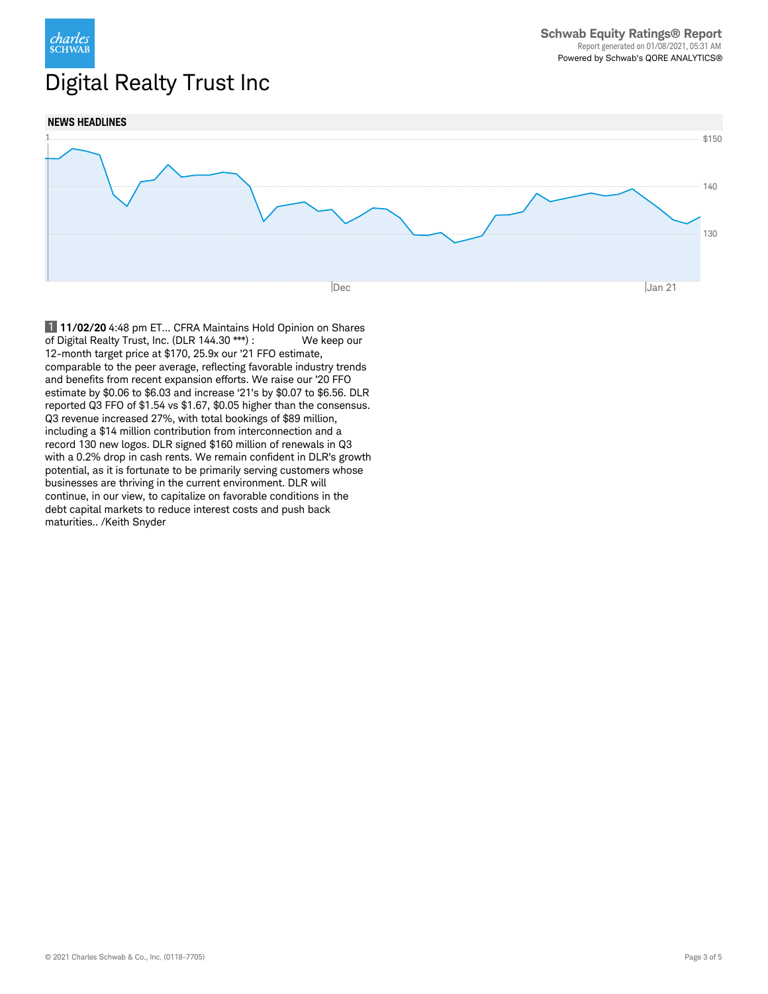

# Digital Realty Trust Inc



 1 **11/02/20** 4:48 pm ET... CFRA Maintains Hold Opinion on Shares of Digital Realty Trust, Inc. (DLR 144.30 \*\*\*) : We keep our 12-month target price at \$170, 25.9x our '21 FFO estimate, comparable to the peer average, reflecting favorable industry trends and benefits from recent expansion efforts. We raise our '20 FFO estimate by \$0.06 to \$6.03 and increase '21's by \$0.07 to \$6.56. DLR reported Q3 FFO of \$1.54 vs \$1.67, \$0.05 higher than the consensus. Q3 revenue increased 27%, with total bookings of \$89 million, including a \$14 million contribution from interconnection and a record 130 new logos. DLR signed \$160 million of renewals in Q3 with a 0.2% drop in cash rents. We remain confident in DLR's growth potential, as it is fortunate to be primarily serving customers whose businesses are thriving in the current environment. DLR will continue, in our view, to capitalize on favorable conditions in the debt capital markets to reduce interest costs and push back maturities.. /Keith Snyder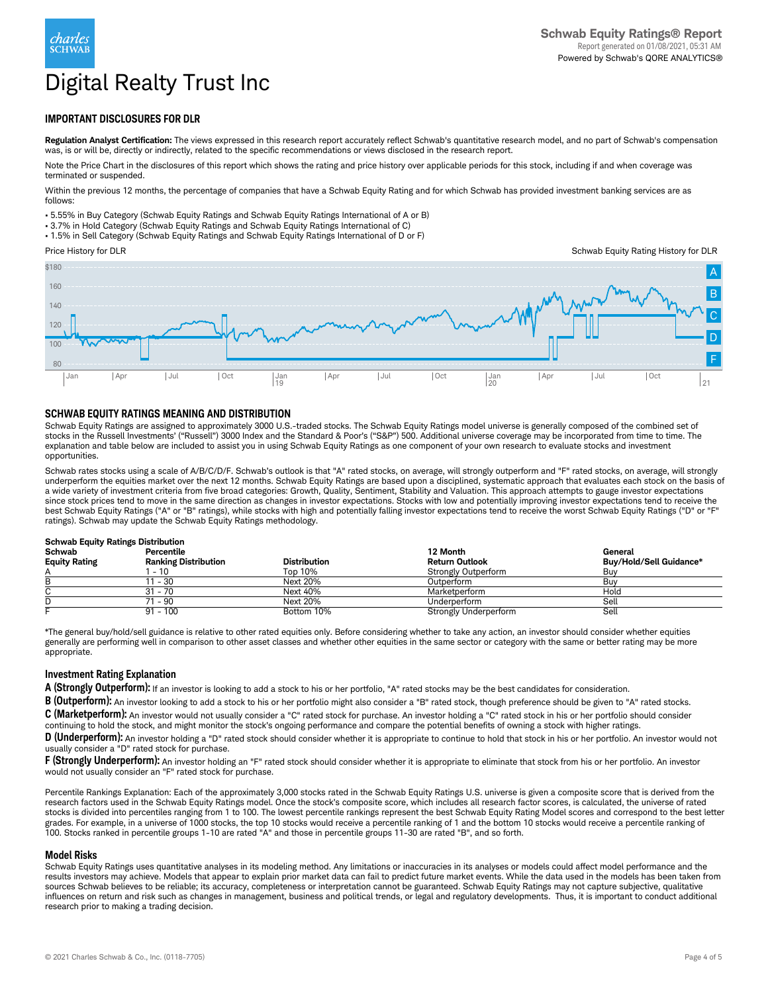

# Digital Realty Trust Inc

# **IMPORTANT DISCLOSURES FOR DLR**

**Regulation Analyst Certification:** The views expressed in this research report accurately reflect Schwab's quantitative research model, and no part of Schwab's compensation was, is or will be, directly or indirectly, related to the specific recommendations or views disclosed in the research report.

Note the Price Chart in the disclosures of this report which shows the rating and price history over applicable periods for this stock, including if and when coverage was terminated or suspended.

Within the previous 12 months, the percentage of companies that have a Schwab Equity Rating and for which Schwab has provided investment banking services are as follows:

• 5.55% in Buy Category (Schwab Equity Ratings and Schwab Equity Ratings International of A or B)

• 3.7% in Hold Category (Schwab Equity Ratings and Schwab Equity Ratings International of C)

• 1.5% in Sell Category (Schwab Equity Ratings and Schwab Equity Ratings International of D or F)

Price History for DLR

Schwab Equity Rating History for DLR



### **SCHWAB EQUITY RATINGS MEANING AND DISTRIBUTION**

Schwab Equity Ratings are assigned to approximately 3000 U.S.-traded stocks. The Schwab Equity Ratings model universe is generally composed of the combined set of<br>stocks in the Russell Investments' ("Russell") 3000 Index a explanation and table below are included to assist you in using Schwab Equity Ratings as one component of your own research to evaluate stocks and investment opportunities.

Schwab rates stocks using a scale of A/B/C/D/F. Schwab's outlook is that "A" rated stocks, on average, will strongly outperform and "F" rated stocks, on average, will strongly underperform the equities market over the next 12 months. Schwab Equity Ratings are based upon a disciplined, systematic approach that evaluates each stock on the basis of a wide variety of investment criteria from five broad categories: Growth, Quality, Sentiment, Stability and Valuation. This approach attempts to gauge investor expectations since stock prices tend to move in the same direction as changes in investor expectations. Stocks with low and potentially improving investor expectations tend to receive the best Schwab Equity Ratings ("A" or "B" ratings), while stocks with high and potentially falling investor expectations tend to receive the worst Schwab Equity Ratings ("D" or "F" ratings). Schwab may update the Schwab Equity Ratings methodology.

| <b>Schwab Equity Ratings Distribution</b> |                             |                     |                              |                         |  |  |
|-------------------------------------------|-----------------------------|---------------------|------------------------------|-------------------------|--|--|
| <b>Schwab</b>                             | Percentile                  |                     | 12 Month                     | General                 |  |  |
| <b>Equity Rating</b>                      | <b>Ranking Distribution</b> | <b>Distribution</b> | <b>Return Outlook</b>        | Buv/Hold/Sell Guidance* |  |  |
|                                           | - 10                        | Top 10%             | <b>Strongly Outperform</b>   | Buv                     |  |  |
|                                           | 11 - 30                     | Next 20%            | Outperform                   | Buv                     |  |  |
|                                           | 31 - 70                     | Next 40%            | Marketperform                | Hold                    |  |  |
|                                           | 71 - 90                     | Next 20%            | Underperform                 | Sell                    |  |  |
|                                           | $91 - 100$                  | Bottom 10%          | <b>Strongly Underperform</b> | Sell                    |  |  |

\*The general buy/hold/sell guidance is relative to other rated equities only. Before considering whether to take any action, an investor should consider whether equities generally are performing well in comparison to other asset classes and whether other equities in the same sector or category with the same or better rating may be more appropriate.

#### **Investment Rating Explanation**

**A (Strongly Outperform):** If an investor is looking to add a stock to his or her portfolio, "A" rated stocks may be the best candidates for consideration.

**B (Outperform):** An investor looking to add a stock to his or her portfolio might also consider a "B" rated stock, though preference should be given to "A" rated stocks. **C (Marketperform):** An investor would not usually consider a "C" rated stock for purchase. An investor holding a "C" rated stock in his or her portfolio should consider

continuing to hold the stock, and might monitor the stock's ongoing performance and compare the potential benefits of owning a stock with higher ratings.

**D** (Underperform): An investor holding a "D" rated stock should consider whether it is appropriate to continue to hold that stock in his or her portfolio. An investor would not usually consider a "D" rated stock for purchase.

**F (Strongly Underperform):** An investor holding an "F" rated stock should consider whether it is appropriate to eliminate that stock from his or her portfolio. An investor would not usually consider an "F" rated stock for purchase.

Percentile Rankings Explanation: Each of the approximately 3,000 stocks rated in the Schwab Equity Ratings U.S. universe is given a composite score that is derived from the research factors used in the Schwab Equity Ratings model. Once the stock's composite score, which includes all research factor scores, is calculated, the universe of rated stocks is divided into percentiles ranging from 1 to 100. The lowest percentile rankings represent the best Schwab Equity Rating Model scores and correspond to the best letter grades. For example, in a universe of 1000 stocks, the top 10 stocks would receive a percentile ranking of 1 and the bottom 10 stocks would receive a percentile ranking of<br>100. Stocks ranked in percentile groups 1-10 are r

#### **Model Risks**

Schwab Equity Ratings uses quantitative analyses in its modeling method. Any limitations or inaccuracies in its analyses or models could affect model performance and the results investors may achieve. Models that appear to explain prior market data can fail to predict future market events. While the data used in the models has been taken from sources Schwab believes to be reliable; its accuracy, completeness or interpretation cannot be guaranteed. Schwab Equity Ratings may not capture subjective, qualitative influences on return and risk such as changes in management, business and political trends, or legal and regulatory developments. Thus, it is important to conduct additional research prior to making a trading decision.